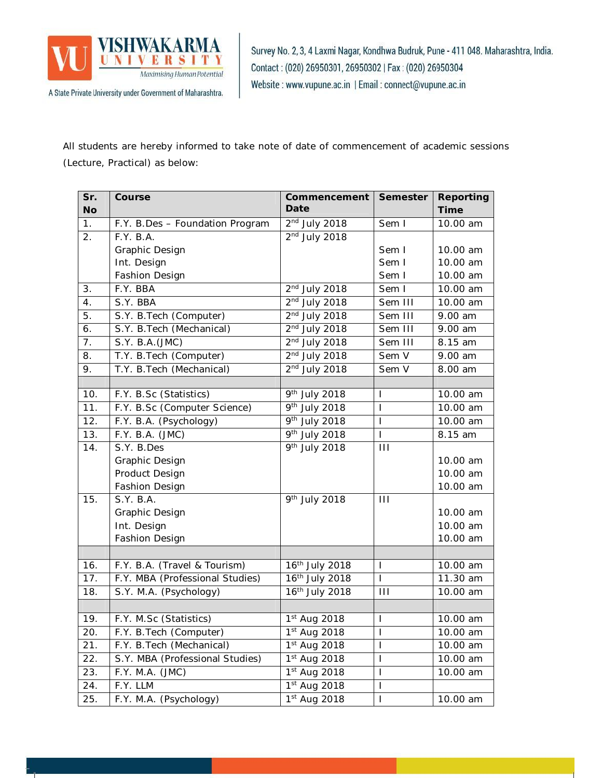

Survey No. 2, 3, 4 Laxmi Nagar, Kondhwa Budruk, Pune - 411 048. Maharashtra, India. Contact: (020) 26950301, 26950302 | Fax: (020) 26950304 Website: www.vupune.ac.in | Email: connect@vupune.ac.in

All students are hereby informed to take note of date of commencement of academic sessions (Lecture, Practical) as below:

| Sr.            | Course                          | Commencement               | <b>Semester</b> | <b>Reporting</b> |
|----------------|---------------------------------|----------------------------|-----------------|------------------|
| <b>No</b>      |                                 | Date                       |                 | <b>Time</b>      |
| 1 <sub>1</sub> | F.Y. B.Des - Foundation Program | $2nd$ July 2018            | Sem I           | 10.00 am         |
| 2.             | F.Y. B.A.                       | $2nd$ July 2018            |                 |                  |
|                | Graphic Design                  |                            | Sem I           | 10.00 am         |
|                | Int. Design                     |                            | Sem I           | 10.00 am         |
|                | Fashion Design                  |                            | Sem I           | 10.00 am         |
| 3.             | F.Y. BBA                        | $2nd$ July 2018            | Sem I           | 10.00 am         |
| 4.             | S.Y. BBA                        | 2 <sup>nd</sup> July 2018  | Sem III         | 10.00 am         |
| 5.             | S.Y. B.Tech (Computer)          | $2nd$ July 2018            | Sem III         | 9.00 am          |
| 6.             | S.Y. B.Tech (Mechanical)        | $2nd$ July 2018            | Sem III         | 9.00 am          |
| 7.             | S.Y. B.A. (JMC)                 | $2nd$ July 2018            | Sem III         | 8.15 am          |
| 8.             | T.Y. B.Tech (Computer)          | $2nd$ July 2018            | Sem V           | 9.00 am          |
| 9.             | T.Y. B.Tech (Mechanical)        | 2 <sup>nd</sup> July 2018  | Sem V           | 8.00 am          |
|                |                                 |                            |                 |                  |
| 10.            | F.Y. B.Sc (Statistics)          | 9 <sup>th</sup> July 2018  | T               | 10.00 am         |
| 11.            | F.Y. B.Sc (Computer Science)    | 9 <sup>th</sup> July 2018  | T               | 10.00 am         |
| 12.            | F.Y. B.A. (Psychology)          | 9 <sup>th</sup> July 2018  | $\mathsf{I}$    | 10.00 am         |
| 13.            | F.Y. B.A. (JMC)                 | 9 <sup>th</sup> July 2018  | $\overline{1}$  | 8.15 am          |
| 14.            | S.Y. B.Des                      | $\frac{1}{9}$ th July 2018 | Ш               |                  |
|                | Graphic Design                  |                            |                 | 10.00 am         |
|                | Product Design                  |                            |                 | 10.00 am         |
|                | Fashion Design                  |                            |                 | 10.00 am         |
| 15.            | S.Y. B.A.                       | 9 <sup>th</sup> July 2018  | Ш               |                  |
|                | Graphic Design                  |                            |                 | 10.00 am         |
|                | Int. Design                     |                            |                 | 10.00 am         |
|                | Fashion Design                  |                            |                 | 10.00 am         |
|                |                                 |                            |                 |                  |
| 16.            | F.Y. B.A. (Travel & Tourism)    | 16th July 2018             | T               | 10.00 am         |
| 17.            | F.Y. MBA (Professional Studies) | 16th July 2018             | $\mathsf{I}$    | 11.30 am         |
| 18.            | S.Y. M.A. (Psychology)          | 16th July 2018             | $\mathbf{H}$    | 10.00 am         |
|                |                                 |                            |                 |                  |
| 19.            | F.Y. M.Sc (Statistics)          | 1st Aug 2018               | T               | 10.00 am         |
| 20.            | F.Y. B.Tech (Computer)          | 1 <sup>st</sup> Aug 2018   | I               | 10.00 am         |
| 21.            | F.Y. B. Tech (Mechanical)       | $1st$ Aug 2018             | I               | 10.00 am         |
| 22.            | S.Y. MBA (Professional Studies) | 1st Aug 2018               | I               | 10.00 am         |
| 23.            | F.Y. M.A. (JMC)                 | 1 <sup>st</sup> Aug 2018   | I               | 10.00 am         |
| 24.            | F.Y. LLM                        | $1st$ Aug 2018             | I               |                  |
| 25.            | F.Y. M.A. (Psychology)          | 1st Aug 2018               | I               | 10.00 am         |